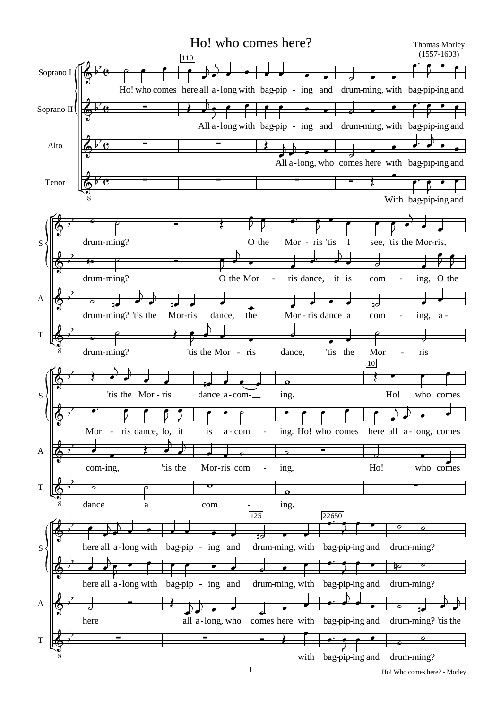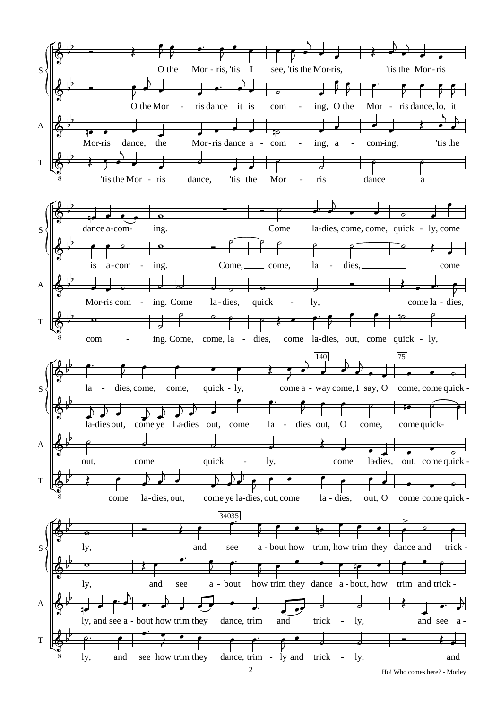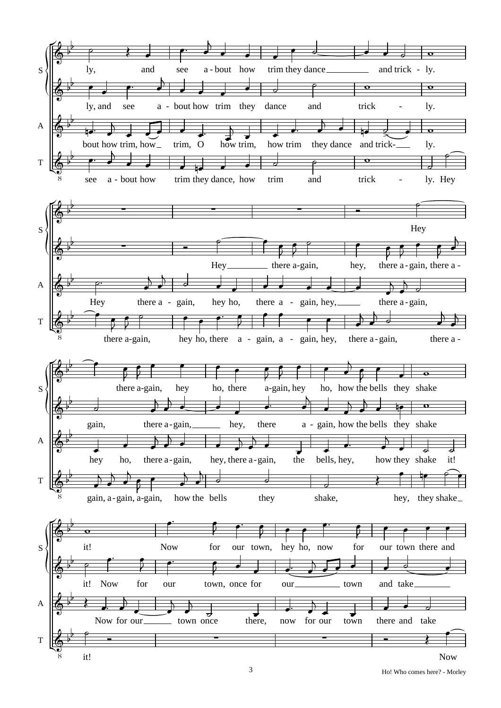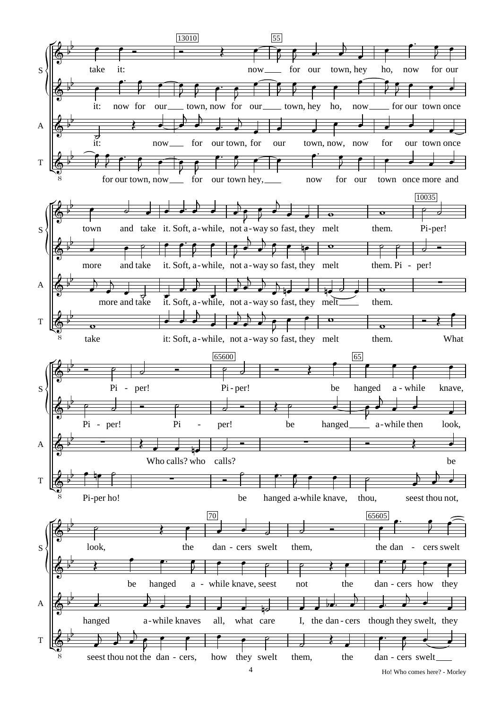